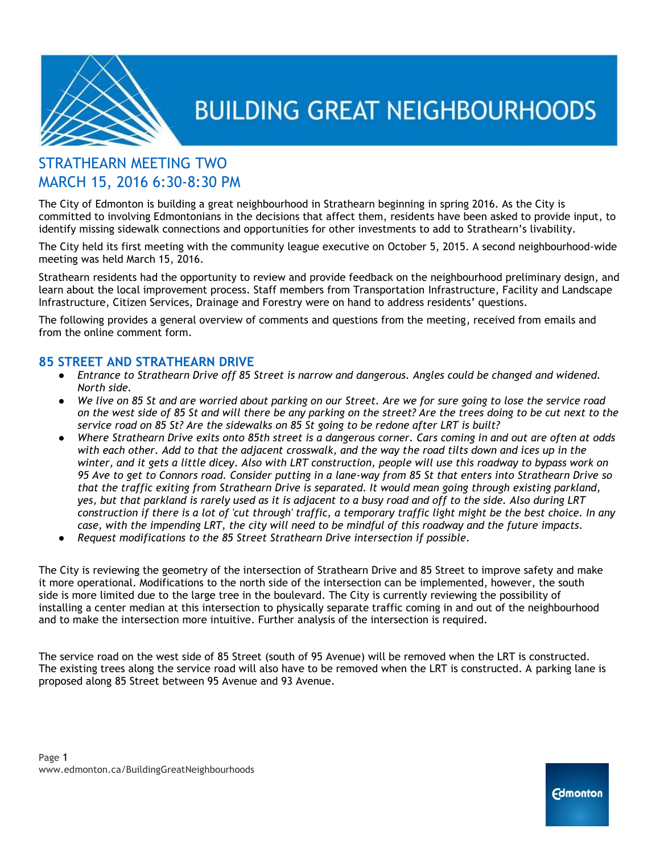

### STRATHEARN MEETING TWO MARCH 15, 2016 6:30-8:30 PM

The City of Edmonton is building a great neighbourhood in Strathearn beginning in spring 2016. As the City is committed to involving Edmontonians in the decisions that affect them, residents have been asked to provide input, to identify missing sidewalk connections and opportunities for other investments to add to Strathearn's livability.

The City held its first meeting with the community league executive on October 5, 2015. A second neighbourhood-wide meeting was held March 15, 2016.

Strathearn residents had the opportunity to review and provide feedback on the neighbourhood preliminary design, and learn about the local improvement process. Staff members from Transportation Infrastructure, Facility and Landscape Infrastructure, Citizen Services, Drainage and Forestry were on hand to address residents' questions.

The following provides a general overview of comments and questions from the meeting, received from emails and from the online comment form.

### **85 STREET AND STRATHEARN DRIVE**

- *Entrance to Strathearn Drive off 85 Street is narrow and dangerous. Angles could be changed and widened. North side.*
- *We live on 85 St and are worried about parking on our Street. Are we for sure going to lose the service road on the west side of 85 St and will there be any parking on the street? Are the trees doing to be cut next to the service road on 85 St? Are the sidewalks on 85 St going to be redone after LRT is built?*
- *Where Strathearn Drive exits onto 85th street is a dangerous corner. Cars coming in and out are often at odds with each other. Add to that the adjacent crosswalk, and the way the road tilts down and ices up in the winter, and it gets a little dicey. Also with LRT construction, people will use this roadway to bypass work on 95 Ave to get to Connors road. Consider putting in a lane-way from 85 St that enters into Strathearn Drive so that the traffic exiting from Strathearn Drive is separated. It would mean going through existing parkland, yes, but that parkland is rarely used as it is adjacent to a busy road and off to the side. Also during LRT construction if there is a lot of 'cut through' traffic, a temporary traffic light might be the best choice. In any case, with the impending LRT, the city will need to be mindful of this roadway and the future impacts.*
- *Request modifications to the 85 Street Strathearn Drive intersection if possible.*

The City is reviewing the geometry of the intersection of Strathearn Drive and 85 Street to improve safety and make it more operational. Modifications to the north side of the intersection can be implemented, however, the south side is more limited due to the large tree in the boulevard. The City is currently reviewing the possibility of installing a center median at this intersection to physically separate traffic coming in and out of the neighbourhood and to make the intersection more intuitive. Further analysis of the intersection is required.

The service road on the west side of 85 Street (south of 95 Avenue) will be removed when the LRT is constructed. The existing trees along the service road will also have to be removed when the LRT is constructed. A parking lane is proposed along 85 Street between 95 Avenue and 93 Avenue.

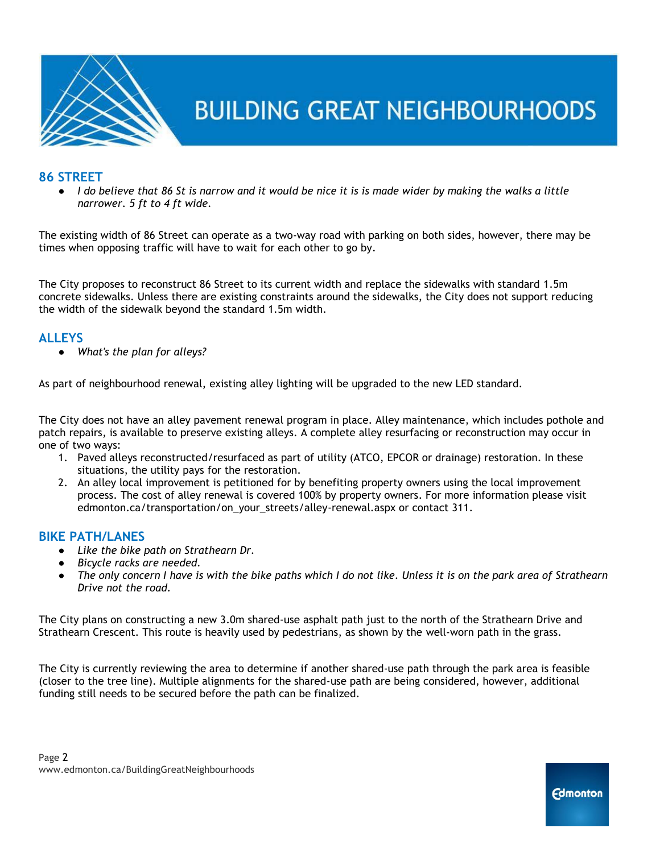

### **86 STREET**

*I* do believe that 86 St is narrow and it would be nice it is is made wider by making the walks a little *narrower. 5 ft to 4 ft wide.*

The existing width of 86 Street can operate as a two-way road with parking on both sides, however, there may be times when opposing traffic will have to wait for each other to go by.

The City proposes to reconstruct 86 Street to its current width and replace the sidewalks with standard 1.5m concrete sidewalks. Unless there are existing constraints around the sidewalks, the City does not support reducing the width of the sidewalk beyond the standard 1.5m width.

#### **ALLEYS**

● *What's the plan for alleys?*

As part of neighbourhood renewal, existing alley lighting will be upgraded to the new LED standard.

The City does not have an alley pavement renewal program in place. Alley maintenance, which includes pothole and patch repairs, is available to preserve existing alleys. A complete alley resurfacing or reconstruction may occur in one of two ways:

- 1. Paved alleys reconstructed/resurfaced as part of utility (ATCO, EPCOR or drainage) restoration. In these situations, the utility pays for the restoration.
- 2. An alley local improvement is petitioned for by benefiting property owners using the local improvement process. The cost of alley renewal is covered 100% by property owners. For more information please visit edmonton.ca/transportation/on\_your\_streets/alley-renewal.aspx or contact 311.

### **BIKE PATH/LANES**

- *Like the bike path on Strathearn Dr.*
- *Bicycle racks are needed.*
- *The only concern I have is with the bike paths which I do not like. Unless it is on the park area of Strathearn Drive not the road.*

The City plans on constructing a new 3.0m shared-use asphalt path just to the north of the Strathearn Drive and Strathearn Crescent. This route is heavily used by pedestrians, as shown by the well-worn path in the grass.

The City is currently reviewing the area to determine if another shared-use path through the park area is feasible (closer to the tree line). Multiple alignments for the shared-use path are being considered, however, additional funding still needs to be secured before the path can be finalized.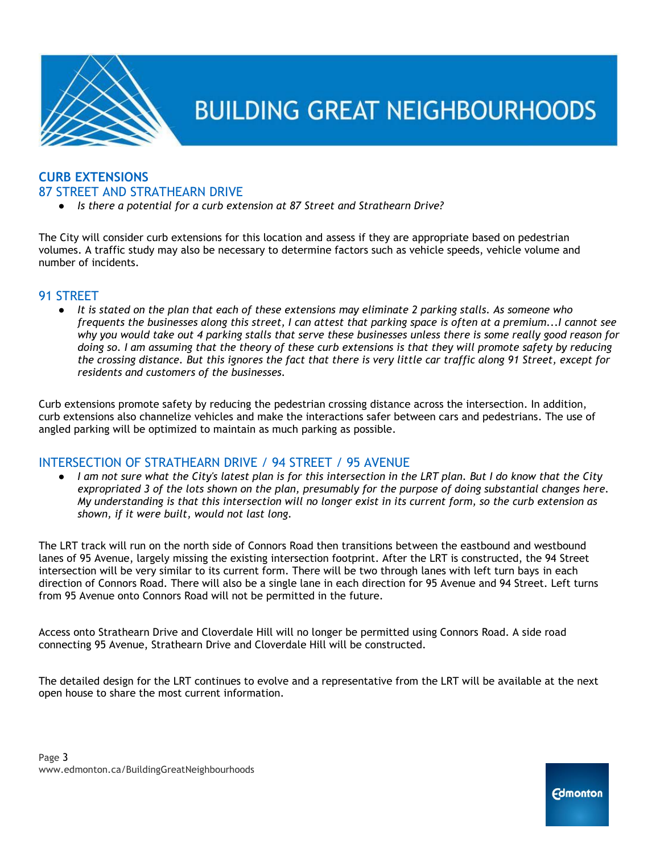

### **CURB EXTENSIONS**  87 STREET AND STRATHEARN DRIVE

*Is there a potential for a curb extension at 87 Street and Strathearn Drive?* 

The City will consider curb extensions for this location and assess if they are appropriate based on pedestrian volumes. A traffic study may also be necessary to determine factors such as vehicle speeds, vehicle volume and number of incidents.

### 91 STREET

● *It is stated on the plan that each of these extensions may eliminate 2 parking stalls. As someone who frequents the businesses along this street, I can attest that parking space is often at a premium...I cannot see why you would take out 4 parking stalls that serve these businesses unless there is some really good reason for doing so. I am assuming that the theory of these curb extensions is that they will promote safety by reducing the crossing distance. But this ignores the fact that there is very little car traffic along 91 Street, except for residents and customers of the businesses.*

Curb extensions promote safety by reducing the pedestrian crossing distance across the intersection. In addition, curb extensions also channelize vehicles and make the interactions safer between cars and pedestrians. The use of angled parking will be optimized to maintain as much parking as possible.

### INTERSECTION OF STRATHEARN DRIVE / 94 STREET / 95 AVENUE

● *I am not sure what the City's latest plan is for this intersection in the LRT plan. But I do know that the City expropriated 3 of the lots shown on the plan, presumably for the purpose of doing substantial changes here. My understanding is that this intersection will no longer exist in its current form, so the curb extension as shown, if it were built, would not last long.*

The LRT track will run on the north side of Connors Road then transitions between the eastbound and westbound lanes of 95 Avenue, largely missing the existing intersection footprint. After the LRT is constructed, the 94 Street intersection will be very similar to its current form. There will be two through lanes with left turn bays in each direction of Connors Road. There will also be a single lane in each direction for 95 Avenue and 94 Street. Left turns from 95 Avenue onto Connors Road will not be permitted in the future.

Access onto Strathearn Drive and Cloverdale Hill will no longer be permitted using Connors Road. A side road connecting 95 Avenue, Strathearn Drive and Cloverdale Hill will be constructed.

The detailed design for the LRT continues to evolve and a representative from the LRT will be available at the next open house to share the most current information.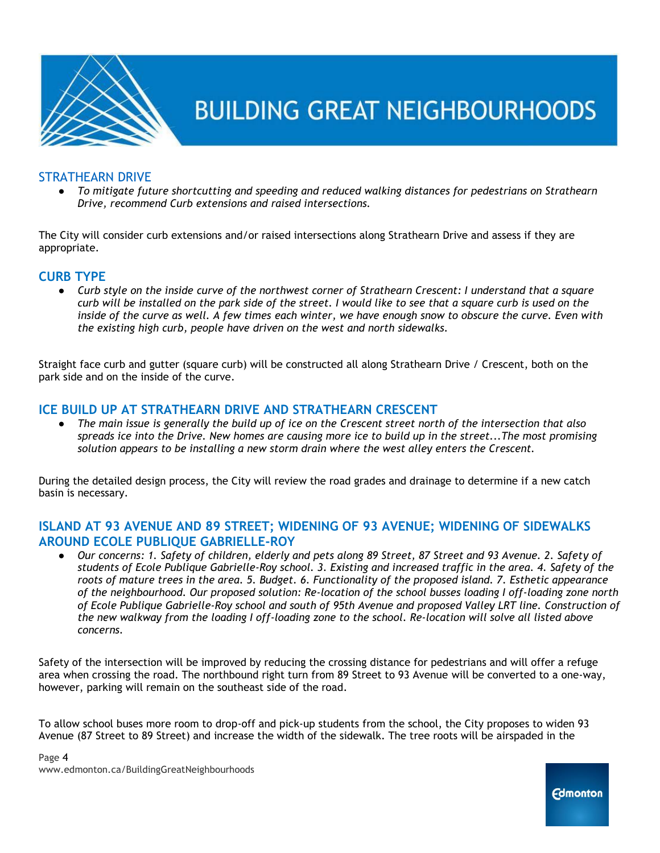

### STRATHEARN DRIVE

● *To mitigate future shortcutting and speeding and reduced walking distances for pedestrians on Strathearn Drive, recommend Curb extensions and raised intersections.*

The City will consider curb extensions and/or raised intersections along Strathearn Drive and assess if they are appropriate.

### **CURB TYPE**

● *Curb style on the inside curve of the northwest corner of Strathearn Crescent: I understand that a square curb will be installed on the park side of the street. I would like to see that a square curb is used on the inside of the curve as well. A few times each winter, we have enough snow to obscure the curve. Even with the existing high curb, people have driven on the west and north sidewalks.* 

Straight face curb and gutter (square curb) will be constructed all along Strathearn Drive / Crescent, both on the park side and on the inside of the curve.

### **ICE BUILD UP AT STRATHEARN DRIVE AND STRATHEARN CRESCENT**

● *The main issue is generally the build up of ice on the Crescent street north of the intersection that also spreads ice into the Drive. New homes are causing more ice to build up in the street...The most promising solution appears to be installing a new storm drain where the west alley enters the Crescent.* 

During the detailed design process, the City will review the road grades and drainage to determine if a new catch basin is necessary.

### **ISLAND AT 93 AVENUE AND 89 STREET; WIDENING OF 93 AVENUE; WIDENING OF SIDEWALKS AROUND ECOLE PUBLIQUE GABRIELLE-ROY**

● *Our concerns: 1. Safety of children, elderly and pets along 89 Street, 87 Street and 93 Avenue. 2. Safety of students of Ecole Publique Gabrielle-Roy school. 3. Existing and increased traffic in the area. 4. Safety of the roots of mature trees in the area. 5. Budget. 6. Functionality of the proposed island. 7. Esthetic appearance of the neighbourhood. Our proposed solution: Re-location of the school busses loading I off-loading zone north of Ecole Publique Gabrielle-Roy school and south of 95th Avenue and proposed Valley LRT line. Construction of the new walkway from the loading I off-loading zone to the school. Re-location will solve all listed above concerns.*

Safety of the intersection will be improved by reducing the crossing distance for pedestrians and will offer a refuge area when crossing the road. The northbound right turn from 89 Street to 93 Avenue will be converted to a one-way, however, parking will remain on the southeast side of the road.

To allow school buses more room to drop-off and pick-up students from the school, the City proposes to widen 93 Avenue (87 Street to 89 Street) and increase the width of the sidewalk. The tree roots will be airspaded in the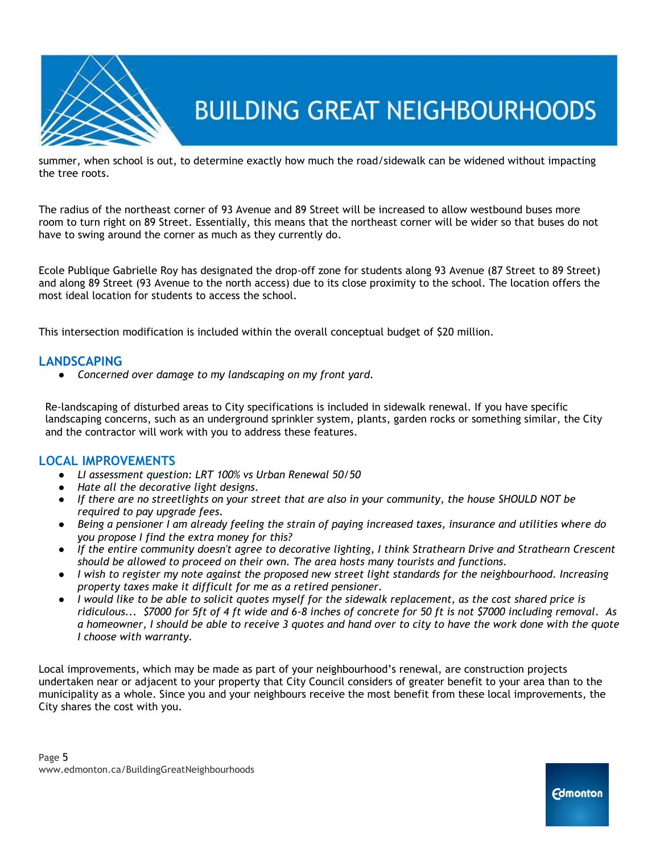

summer, when school is out, to determine exactly how much the road/sidewalk can be widened without impacting the tree roots.

The radius of the northeast corner of 93 Avenue and 89 Street will be increased to allow westbound buses more room to turn right on 89 Street. Essentially, this means that the northeast corner will be wider so that buses do not have to swing around the corner as much as they currently do.

Ecole Publique Gabrielle Roy has designated the drop-off zone for students along 93 Avenue (87 Street to 89 Street) and along 89 Street (93 Avenue to the north access) due to its close proximity to the school. The location offers the most ideal location for students to access the school.

This intersection modification is included within the overall conceptual budget of \$20 million.

### **LANDSCAPING**

● *Concerned over damage to my landscaping on my front yard.*

Re-landscaping of disturbed areas to City specifications is included in sidewalk renewal. If you have specific landscaping concerns, such as an underground sprinkler system, plants, garden rocks or something similar, the City and the contractor will work with you to address these features.

### **LOCAL IMPROVEMENTS**

- *LI assessment question: LRT 100% vs Urban Renewal 50/50*
- *Hate all the decorative light designs.*
- *If there are no streetlights on your street that are also in your community, the house SHOULD NOT be required to pay upgrade fees.*
- *Being a pensioner I am already feeling the strain of paying increased taxes, insurance and utilities where do you propose I find the extra money for this?*
- *If the entire community doesn't agree to decorative lighting, I think Strathearn Drive and Strathearn Crescent should be allowed to proceed on their own. The area hosts many tourists and functions.*
- *I wish to register my note against the proposed new street light standards for the neighbourhood. Increasing property taxes make it difficult for me as a retired pensioner.*
- *I would like to be able to solicit quotes myself for the sidewalk replacement, as the cost shared price is ridiculous... \$7000 for 5ft of 4 ft wide and 6-8 inches of concrete for 50 ft is not \$7000 including removal. As a homeowner, I should be able to receive 3 quotes and hand over to city to have the work done with the quote I choose with warranty.*

Local improvements, which may be made as part of your neighbourhood's renewal, are construction projects undertaken near or adjacent to your property that City Council considers of greater benefit to your area than to the municipality as a whole. Since you and your neighbours receive the most benefit from these local improvements, the City shares the cost with you.

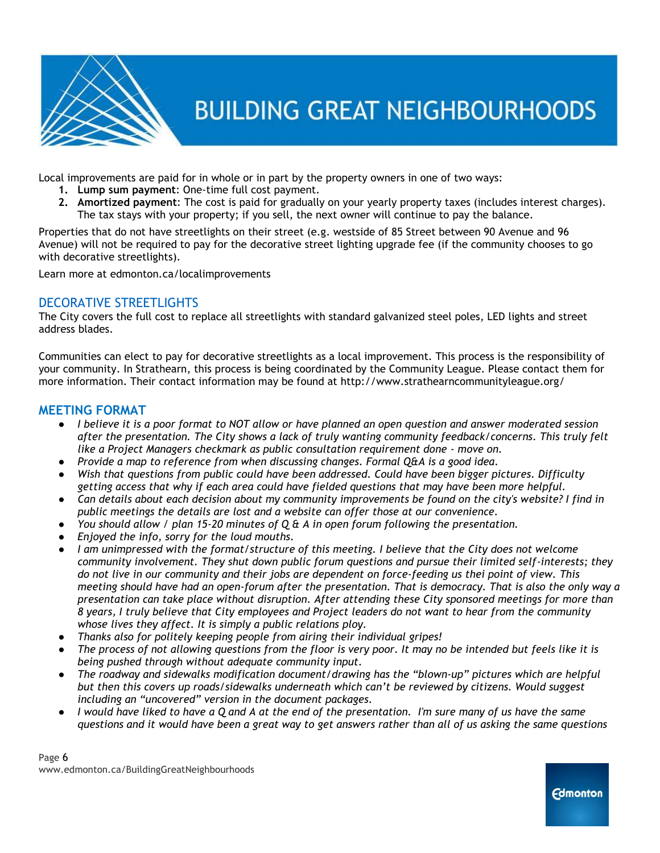

Local improvements are paid for in whole or in part by the property owners in one of two ways:

- **1. Lump sum payment**: One-time full cost payment.
- **2. Amortized payment**: The cost is paid for gradually on your yearly property taxes (includes interest charges). The tax stays with your property; if you sell, the next owner will continue to pay the balance.

Properties that do not have streetlights on their street (e.g. westside of 85 Street between 90 Avenue and 96 Avenue) will not be required to pay for the decorative street lighting upgrade fee (if the community chooses to go with decorative streetlights).

Learn more at edmonton.ca/localimprovements

### DECORATIVE STREETLIGHTS

The City covers the full cost to replace all streetlights with standard galvanized steel poles, LED lights and street address blades.

Communities can elect to pay for decorative streetlights as a local improvement. This process is the responsibility of your community. In Strathearn, this process is being coordinated by the Community League. Please contact them for more information. Their contact information may be found at http://www.strathearncommunityleague.org/

### **MEETING FORMAT**

- *I believe it is a poor format to NOT allow or have planned an open question and answer moderated session after the presentation. The City shows a lack of truly wanting community feedback/concerns. This truly felt like a Project Managers checkmark as public consultation requirement done - move on.*
- *Provide a map to reference from when discussing changes. Formal Q&A is a good idea.*
- *Wish that questions from public could have been addressed. Could have been bigger pictures. Difficulty getting access that why if each area could have fielded questions that may have been more helpful.*
- *Can details about each decision about my community improvements be found on the city's website? I find in public meetings the details are lost and a website can offer those at our convenience.*
- *You should allow / plan 15-20 minutes of Q & A in open forum following the presentation.*
- *Enjoyed the info, sorry for the loud mouths.*
- I am unimpressed with the format/structure of this meeting. I believe that the City does not welcome *community involvement. They shut down public forum questions and pursue their limited self-interests; they do not live in our community and their jobs are dependent on force-feeding us thei point of view. This meeting should have had an open-forum after the presentation. That is democracy. That is also the only way a presentation can take place without disruption. After attending these City sponsored meetings for more than 8 years, I truly believe that City employees and Project leaders do not want to hear from the community whose lives they affect. It is simply a public relations ploy.*
- *Thanks also for politely keeping people from airing their individual gripes!*
- *The process of not allowing questions from the floor is very poor. It may no be intended but feels like it is being pushed through without adequate community input.*
- *The roadway and sidewalks modification document/drawing has the "blown‐up" pictures which are helpful but then this covers up roads/sidewalks underneath which can't be reviewed by citizens. Would suggest including an "uncovered" version in the document packages.*
- *I* would have liked to have a Q and A at the end of the presentation. I'm sure many of us have the same *questions and it would have been a great way to get answers rather than all of us asking the same questions*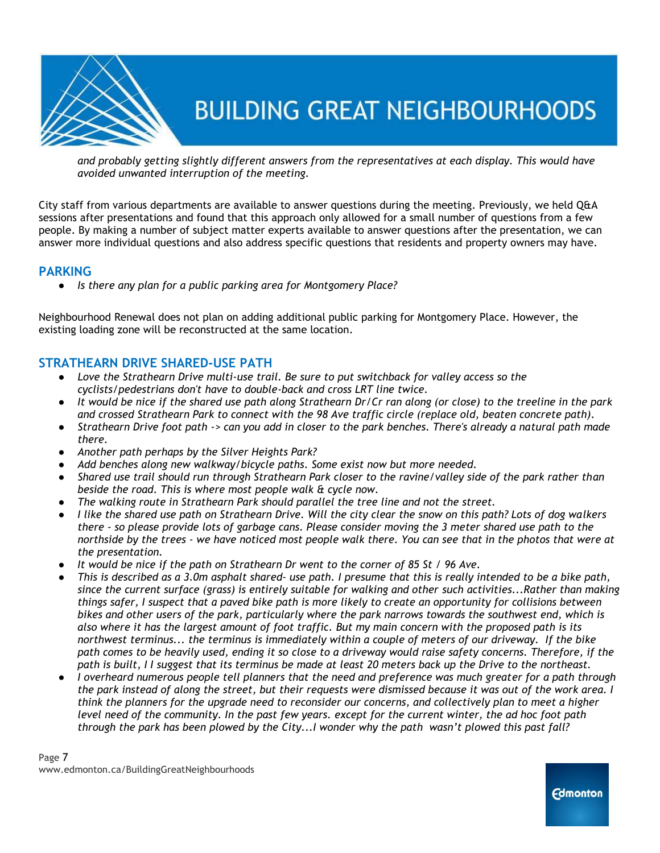

*and probably getting slightly different answers from the representatives at each display. This would have avoided unwanted interruption of the meeting.*

City staff from various departments are available to answer questions during the meeting. Previously, we held Q&A sessions after presentations and found that this approach only allowed for a small number of questions from a few people. By making a number of subject matter experts available to answer questions after the presentation, we can answer more individual questions and also address specific questions that residents and property owners may have.

### **PARKING**

● *Is there any plan for a public parking area for Montgomery Place?*

Neighbourhood Renewal does not plan on adding additional public parking for Montgomery Place. However, the existing loading zone will be reconstructed at the same location.

### **STRATHEARN DRIVE SHARED-USE PATH**

- *Love the Strathearn Drive multi-use trail. Be sure to put switchback for valley access so the cyclists/pedestrians don't have to double-back and cross LRT line twice.*
- *It would be nice if the shared use path along Strathearn Dr/Cr ran along (or close) to the treeline in the park and crossed Strathearn Park to connect with the 98 Ave traffic circle (replace old, beaten concrete path).*
- *Strathearn Drive foot path -> can you add in closer to the park benches. There's already a natural path made there.*
- *Another path perhaps by the Silver Heights Park?*
- *Add benches along new walkway/bicycle paths. Some exist now but more needed.*
- *Shared use trail should run through Strathearn Park closer to the ravine/valley side of the park rather than beside the road. This is where most people walk & cycle now.*
- *The walking route in Strathearn Park should parallel the tree line and not the street.*
- *I like the shared use path on Strathearn Drive. Will the city clear the snow on this path? Lots of dog walkers there - so please provide lots of garbage cans. Please consider moving the 3 meter shared use path to the northside by the trees - we have noticed most people walk there. You can see that in the photos that were at the presentation.*
- *It would be nice if the path on Strathearn Dr went to the corner of 85 St / 96 Ave.*
- *This is described as a 3.0m asphalt shared- use path. I presume that this is really intended to be a bike path, since the current surface (grass) is entirely suitable for walking and other such activities...Rather than making things safer, I suspect that a paved bike path is more likely to create an opportunity for collisions between bikes and other users of the park, particularly where the park narrows towards the southwest end, which is also where it has the largest amount of foot traffic. But my main concern with the proposed path is its northwest terminus... the terminus is immediately within a couple of meters of our driveway. If the bike path comes to be heavily used, ending it so close to a driveway would raise safety concerns. Therefore, if the path is built, I I suggest that its terminus be made at least 20 meters back up the Drive to the northeast.*
- *I overheard numerous people tell planners that the need and preference was much greater for a path through the park instead of along the street, but their requests were dismissed because it was out of the work area. I think the planners for the upgrade need to reconsider our concerns, and collectively plan to meet a higher level need of the community. In the past few years. except for the current winter, the ad hoc foot path through the park has been plowed by the City...I wonder why the path wasn't plowed this past fall?*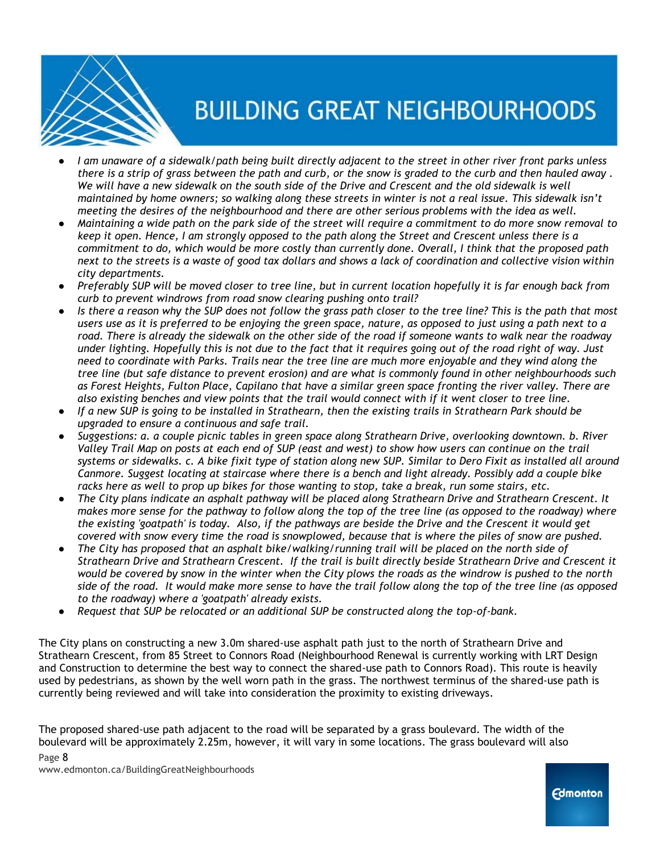

- *I am unaware of a sidewalk/path being built directly adjacent to the street in other river front parks unless there is a strip of grass between the path and curb, or the snow is graded to the curb and then hauled away .*  We will have a new sidewalk on the south side of the Drive and Crescent and the old sidewalk is well *maintained by home owners; so walking along these streets in winter is not a real issue. This sidewalk isn't meeting the desires of the neighbourhood and there are other serious problems with the idea as well.*
- *Maintaining a wide path on the park side of the street will require a commitment to do more snow removal to keep it open. Hence, I am strongly opposed to the path along the Street and Crescent unless there is a commitment to do, which would be more costly than currently done. Overall, I think that the proposed path next to the streets is a waste of good tax dollars and shows a lack of coordination and collective vision within city departments.*
- *Preferably SUP will be moved closer to tree line, but in current location hopefully it is far enough back from curb to prevent windrows from road snow clearing pushing onto trail?*
- Is there a reason why the SUP does not follow the grass path closer to the tree line? This is the path that most *users use as it is preferred to be enjoying the green space, nature, as opposed to just using a path next to a road. There is already the sidewalk on the other side of the road if someone wants to walk near the roadway under lighting. Hopefully this is not due to the fact that it requires going out of the road right of way. Just need to coordinate with Parks. Trails near the tree line are much more enjoyable and they wind along the tree line (but safe distance to prevent erosion) and are what is commonly found in other neighbourhoods such as Forest Heights, Fulton Place, Capilano that have a similar green space fronting the river valley. There are also existing benches and view points that the trail would connect with if it went closer to tree line.*
- *If a new SUP is going to be installed in Strathearn, then the existing trails in Strathearn Park should be upgraded to ensure a continuous and safe trail.*
- *Suggestions: a. a couple picnic tables in green space along Strathearn Drive, overlooking downtown. b. River Valley Trail Map on posts at each end of SUP (east and west) to show how users can continue on the trail systems or sidewalks. c. A bike fixit type of station along new SUP. Similar to Dero Fixit as installed all around Canmore. Suggest locating at staircase where there is a bench and light already. Possibly add a couple bike racks here as well to prop up bikes for those wanting to stop, take a break, run some stairs, etc.*
- *The City plans indicate an asphalt pathway will be placed along Strathearn Drive and Strathearn Crescent. It makes more sense for the pathway to follow along the top of the tree line (as opposed to the roadway) where the existing 'goatpath' is today. Also, if the pathways are beside the Drive and the Crescent it would get covered with snow every time the road is snowplowed, because that is where the piles of snow are pushed.*
- *The City has proposed that an asphalt bike/walking/running trail will be placed on the north side of Strathearn Drive and Strathearn Crescent. If the trail is built directly beside Strathearn Drive and Crescent it would be covered by snow in the winter when the City plows the roads as the windrow is pushed to the north side of the road. It would make more sense to have the trail follow along the top of the tree line (as opposed to the roadway) where a 'goatpath' already exists.*
- *Request that SUP be relocated or an additional SUP be constructed along the top-of-bank.*

The City plans on constructing a new 3.0m shared-use asphalt path just to the north of Strathearn Drive and Strathearn Crescent, from 85 Street to Connors Road (Neighbourhood Renewal is currently working with LRT Design and Construction to determine the best way to connect the shared-use path to Connors Road). This route is heavily used by pedestrians, as shown by the well worn path in the grass. The northwest terminus of the shared-use path is currently being reviewed and will take into consideration the proximity to existing driveways.

The proposed shared-use path adjacent to the road will be separated by a grass boulevard. The width of the boulevard will be approximately 2.25m, however, it will vary in some locations. The grass boulevard will also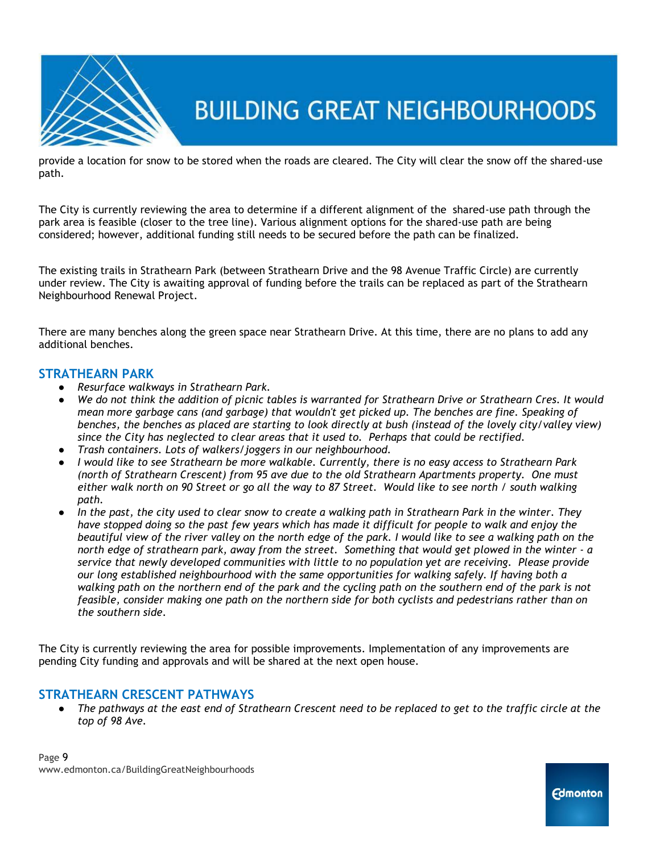

provide a location for snow to be stored when the roads are cleared. The City will clear the snow off the shared-use path.

The City is currently reviewing the area to determine if a different alignment of the shared-use path through the park area is feasible (closer to the tree line). Various alignment options for the shared-use path are being considered; however, additional funding still needs to be secured before the path can be finalized.

The existing trails in Strathearn Park (between Strathearn Drive and the 98 Avenue Traffic Circle) are currently under review. The City is awaiting approval of funding before the trails can be replaced as part of the Strathearn Neighbourhood Renewal Project.

There are many benches along the green space near Strathearn Drive. At this time, there are no plans to add any additional benches.

### **STRATHEARN PARK**

- *Resurface walkways in Strathearn Park.*
- *We do not think the addition of picnic tables is warranted for Strathearn Drive or Strathearn Cres. It would mean more garbage cans (and garbage) that wouldn't get picked up. The benches are fine. Speaking of benches, the benches as placed are starting to look directly at bush (instead of the lovely city/valley view) since the City has neglected to clear areas that it used to. Perhaps that could be rectified.*
- *Trash containers. Lots of walkers/joggers in our neighbourhood.*
- *I would like to see Strathearn be more walkable. Currently, there is no easy access to Strathearn Park (north of Strathearn Crescent) from 95 ave due to the old Strathearn Apartments property. One must either walk north on 90 Street or go all the way to 87 Street. Would like to see north / south walking path.*
- In the past, the city used to clear snow to create a walking path in Strathearn Park in the winter. They *have stopped doing so the past few years which has made it difficult for people to walk and enjoy the beautiful view of the river valley on the north edge of the park. I would like to see a walking path on the north edge of strathearn park, away from the street. Something that would get plowed in the winter - a service that newly developed communities with little to no population yet are receiving. Please provide our long established neighbourhood with the same opportunities for walking safely. If having both a walking path on the northern end of the park and the cycling path on the southern end of the park is not feasible, consider making one path on the northern side for both cyclists and pedestrians rather than on the southern side.*

The City is currently reviewing the area for possible improvements. Implementation of any improvements are pending City funding and approvals and will be shared at the next open house.

### **STRATHEARN CRESCENT PATHWAYS**

The pathways at the east end of Strathearn Crescent need to be replaced to get to the traffic circle at the *top of 98 Ave.*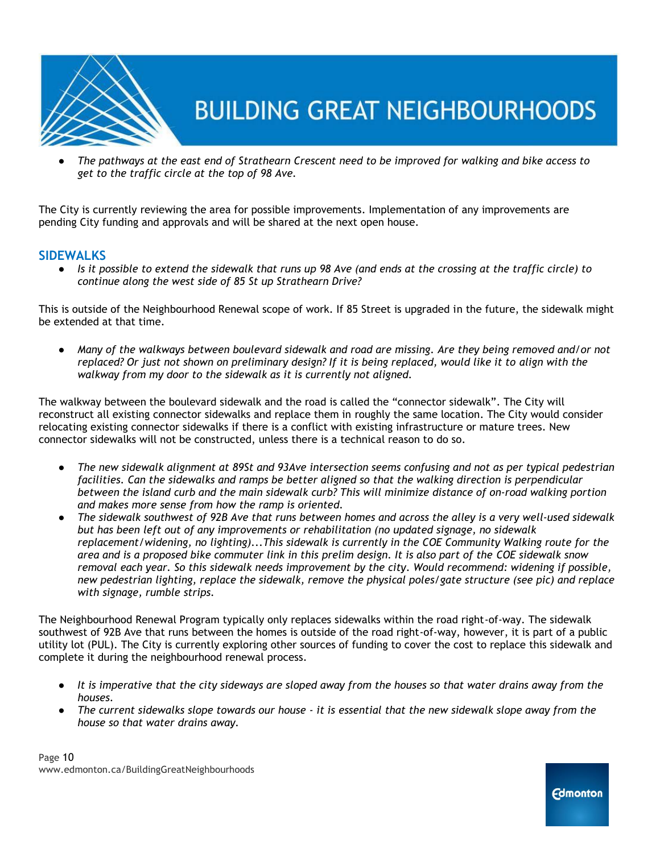

● *The pathways at the east end of Strathearn Crescent need to be improved for walking and bike access to get to the traffic circle at the top of 98 Ave.*

The City is currently reviewing the area for possible improvements. Implementation of any improvements are pending City funding and approvals and will be shared at the next open house.

### **SIDEWALKS**

● *Is it possible to extend the sidewalk that runs up 98 Ave (and ends at the crossing at the traffic circle) to continue along the west side of 85 St up Strathearn Drive?*

This is outside of the Neighbourhood Renewal scope of work. If 85 Street is upgraded in the future, the sidewalk might be extended at that time.

● *Many of the walkways between boulevard sidewalk and road are missing. Are they being removed and/or not replaced? Or just not shown on preliminary design? If it is being replaced, would like it to align with the walkway from my door to the sidewalk as it is currently not aligned.*

The walkway between the boulevard sidewalk and the road is called the "connector sidewalk". The City will reconstruct all existing connector sidewalks and replace them in roughly the same location. The City would consider relocating existing connector sidewalks if there is a conflict with existing infrastructure or mature trees. New connector sidewalks will not be constructed, unless there is a technical reason to do so.

- *The new sidewalk alignment at 89St and 93Ave intersection seems confusing and not as per typical pedestrian facilities. Can the sidewalks and ramps be better aligned so that the walking direction is perpendicular between the island curb and the main sidewalk curb? This will minimize distance of on‐road walking portion and makes more sense from how the ramp is oriented.*
- *The sidewalk southwest of 92B Ave that runs between homes and across the alley is a very well‐used sidewalk but has been left out of any improvements or rehabilitation (no updated signage, no sidewalk replacement/widening, no lighting)...This sidewalk is currently in the COE Community Walking route for the area and is a proposed bike commuter link in this prelim design. It is also part of the COE sidewalk snow removal each year. So this sidewalk needs improvement by the city. Would recommend: widening if possible, new pedestrian lighting, replace the sidewalk, remove the physical poles/gate structure (see pic) and replace with signage, rumble strips.*

The Neighbourhood Renewal Program typically only replaces sidewalks within the road right-of-way. The sidewalk southwest of 92B Ave that runs between the homes is outside of the road right-of-way, however, it is part of a public utility lot (PUL). The City is currently exploring other sources of funding to cover the cost to replace this sidewalk and complete it during the neighbourhood renewal process.

- It is imperative that the city sideways are sloped away from the houses so that water drains away from the *houses.*
- *The current sidewalks slope towards our house - it is essential that the new sidewalk slope away from the house so that water drains away.*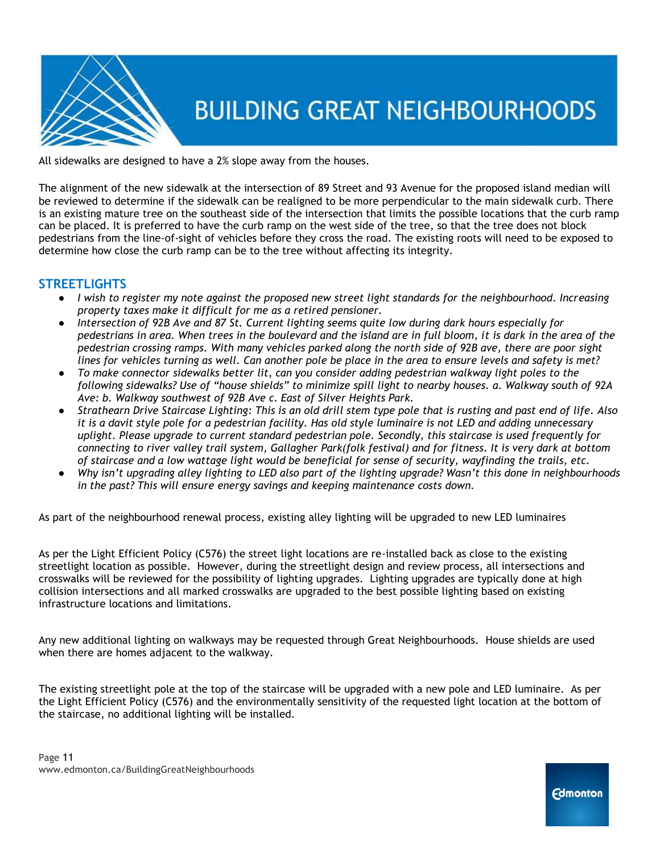

All sidewalks are designed to have a 2% slope away from the houses.

The alignment of the new sidewalk at the intersection of 89 Street and 93 Avenue for the proposed island median will be reviewed to determine if the sidewalk can be realigned to be more perpendicular to the main sidewalk curb. There is an existing mature tree on the southeast side of the intersection that limits the possible locations that the curb ramp can be placed. It is preferred to have the curb ramp on the west side of the tree, so that the tree does not block pedestrians from the line-of-sight of vehicles before they cross the road. The existing roots will need to be exposed to determine how close the curb ramp can be to the tree without affecting its integrity.

### **STREETLIGHTS**

- *I wish to register my note against the proposed new street light standards for the neighbourhood. Increasing property taxes make it difficult for me as a retired pensioner.*
- *Intersection of 92B Ave and 87 St. Current lighting seems quite low during dark hours especially for pedestrians in area. When trees in the boulevard and the island are in full bloom, it is dark in the area of the pedestrian crossing ramps. With many vehicles parked along the north side of 92B ave, there are poor sight lines for vehicles turning as well. Can another pole be place in the area to ensure levels and safety is met?*
- *To make connector sidewalks better lit, can you consider adding pedestrian walkway light poles to the following sidewalks? Use of "house shields" to minimize spill light to nearby houses. a. Walkway south of 92A Ave: b. Walkway southwest of 92B Ave c. East of Silver Heights Park.*
- *Strathearn Drive Staircase Lighting: This is an old drill stem type pole that is rusting and past end of life. Also it is a davit style pole for a pedestrian facility. Has old style luminaire is not LED and adding unnecessary uplight. Please upgrade to current standard pedestrian pole. Secondly, this staircase is used frequently for connecting to river valley trail system, Gallagher Park(folk festival) and for fitness. It is very dark at bottom of staircase and a low wattage light would be beneficial for sense of security, wayfinding the trails, etc.*
- *Why isn't upgrading alley lighting to LED also part of the lighting upgrade? Wasn't this done in neighbourhoods in the past? This will ensure energy savings and keeping maintenance costs down.*

As part of the neighbourhood renewal process, existing alley lighting will be upgraded to new LED luminaires

As per the Light Efficient Policy (C576) the street light locations are re-installed back as close to the existing streetlight location as possible. However, during the streetlight design and review process, all intersections and crosswalks will be reviewed for the possibility of lighting upgrades. Lighting upgrades are typically done at high collision intersections and all marked crosswalks are upgraded to the best possible lighting based on existing infrastructure locations and limitations.

Any new additional lighting on walkways may be requested through Great Neighbourhoods. House shields are used when there are homes adjacent to the walkway.

The existing streetlight pole at the top of the staircase will be upgraded with a new pole and LED luminaire. As per the Light Efficient Policy (C576) and the environmentally sensitivity of the requested light location at the bottom of the staircase, no additional lighting will be installed.

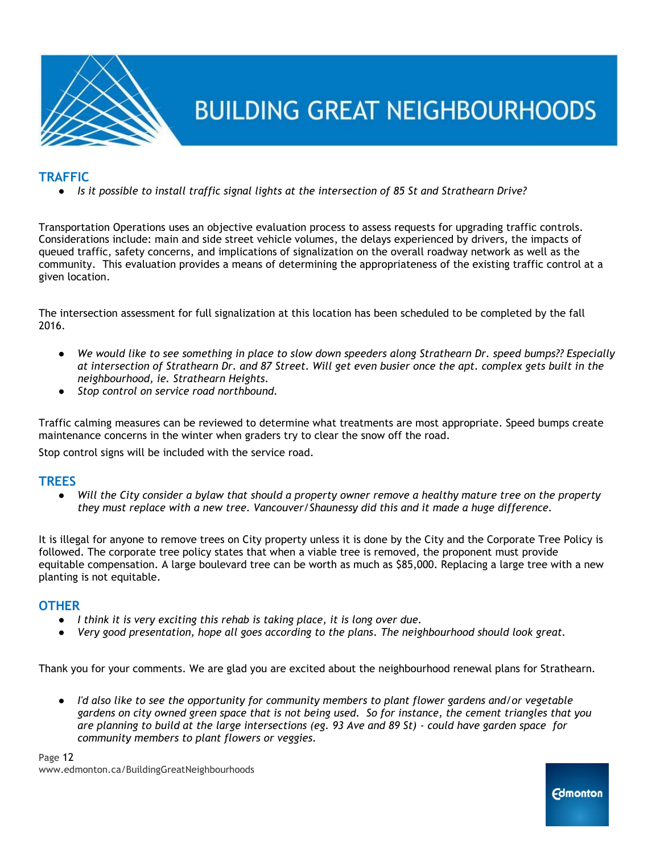

### **TRAFFIC**

● *Is it possible to install traffic signal lights at the intersection of 85 St and Strathearn Drive?*

Transportation Operations uses an objective evaluation process to assess requests for upgrading traffic controls. Considerations include: main and side street vehicle volumes, the delays experienced by drivers, the impacts of queued traffic, safety concerns, and implications of signalization on the overall roadway network as well as the community. This evaluation provides a means of determining the appropriateness of the existing traffic control at a given location.

The intersection assessment for full signalization at this location has been scheduled to be completed by the fall 2016.

- *We would like to see something in place to slow down speeders along Strathearn Dr. speed bumps?? Especially at intersection of Strathearn Dr. and 87 Street. Will get even busier once the apt. complex gets built in the neighbourhood, ie. Strathearn Heights.*
- *Stop control on service road northbound.*

Traffic calming measures can be reviewed to determine what treatments are most appropriate. Speed bumps create maintenance concerns in the winter when graders try to clear the snow off the road.

Stop control signs will be included with the service road.

### **TREES**

● *Will the City consider a bylaw that should a property owner remove a healthy mature tree on the property they must replace with a new tree. Vancouver/Shaunessy did this and it made a huge difference.*

It is illegal for anyone to remove trees on City property unless it is done by the City and the Corporate Tree Policy is followed. The corporate tree policy states that when a viable tree is removed, the proponent must provide equitable compensation. A large boulevard tree can be worth as much as \$85,000. Replacing a large tree with a new planting is not equitable.

#### **OTHER**

- *I think it is very exciting this rehab is taking place, it is long over due.*
- *Very good presentation, hope all goes according to the plans. The neighbourhood should look great.*

Thank you for your comments. We are glad you are excited about the neighbourhood renewal plans for Strathearn.

● *I'd also like to see the opportunity for community members to plant flower gardens and/or vegetable gardens on city owned green space that is not being used. So for instance, the cement triangles that you are planning to build at the large intersections (eg. 93 Ave and 89 St) - could have garden space for community members to plant flowers or veggies.*

Page 12 www.edmonton.ca/BuildingGreatNeighbourhoods